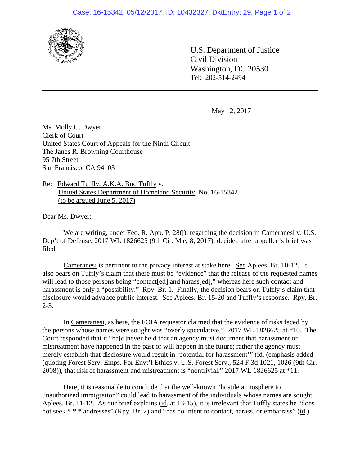## Case: 16-15342, 05/12/2017, ID: 10432327, DktEntry: 29, Page 1 of 2



U.S. Department of Justice Civil Division Washington, DC 20530 Tel: 202-514-2494

May 12, 2017

Ms. Molly C. Dwyer Clerk of Court United States Court of Appeals for the Ninth Circuit The Janes R. Browning Courthouse 95 7th Street San Francisco, CA 94103

Re: Edward Tuffly, A.K.A. Bud Tuffly v. United States Department of Homeland Security, No. 16-15342 (to be argued June 5, 2017)

Dear Ms. Dwyer:

We are writing, under Fed. R. App. P. 28(j), regarding the decision in Cameranesi v. U.S. Dep't of Defense, 2017 WL 1826625 (9th Cir. May 8, 2017), decided after appellee's brief was filed.

Cameranesi is pertinent to the privacy interest at stake here. See Aplees. Br. 10-12. It also bears on Tuffly's claim that there must be "evidence" that the release of the requested names will lead to those persons being "contact[ed] and harass[ed]," whereas here such contact and harassment is only a "possibility." Rpy. Br. 1. Finally, the decision bears on Tuffly's claim that disclosure would advance public interest. See Aplees. Br. 15-20 and Tuffly's response. Rpy. Br.  $2 - 3$ .

In Cameranesi, as here, the FOIA requestor claimed that the evidence of risks faced by the persons whose names were sought was "overly speculative." 2017 WL 1826625 at \*10. The Court responded that it "ha[d]never held that an agency must document that harassment or mistreatment have happened in the past or will happen in the future; rather the agency must merely establish that disclosure would result in 'potential for harassment'" (id. (emphasis added (quoting Forest Serv. Emps. For Envt'l Ethics v. U.S. Forest Serv., 524 F.3d 1021, 1026 (9th Cir. 2008)), that risk of harassment and mistreatment is "nontrivial." 2017 WL 1826625 at \*11.

Here, it is reasonable to conclude that the well-known "hostile atmosphere to unauthorized immigration" could lead to harassment of the individuals whose names are sought. Aplees. Br. 11-12. As our brief explains (id. at 13-15), it is irrelevant that Tuffly states he "does not seek \* \* \* addresses" (Rpy. Br. 2) and "has no intent to contact, harass, or embarrass" (id.)